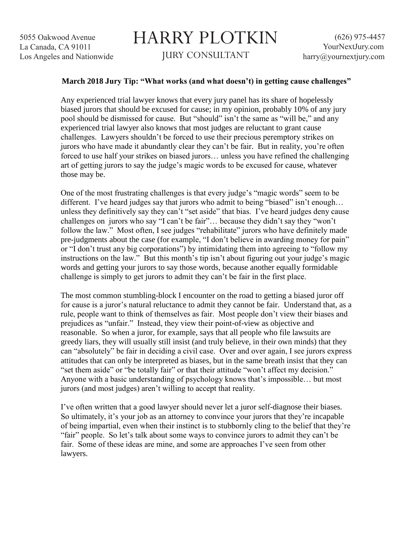## HARRY PLOTKIN JURY CONSULTANT

## **March 2018 Jury Tip: "What works (and what doesn't) in getting cause challenges"**

Any experienced trial lawyer knows that every jury panel has its share of hopelessly biased jurors that should be excused for cause; in my opinion, probably 10% of any jury pool should be dismissed for cause. But "should" isn't the same as "will be," and any experienced trial lawyer also knows that most judges are reluctant to grant cause challenges. Lawyers shouldn't be forced to use their precious peremptory strikes on jurors who have made it abundantly clear they can't be fair. But in reality, you're often forced to use half your strikes on biased jurors… unless you have refined the challenging art of getting jurors to say the judge's magic words to be excused for cause, whatever those may be.

One of the most frustrating challenges is that every judge's "magic words" seem to be different. I've heard judges say that jurors who admit to being "biased" isn't enough… unless they definitively say they can't "set aside" that bias. I've heard judges deny cause challenges on jurors who say "I can't be fair"… because they didn't say they "won't follow the law." Most often, I see judges "rehabilitate" jurors who have definitely made pre-judgments about the case (for example, "I don't believe in awarding money for pain" or "I don't trust any big corporations") by intimidating them into agreeing to "follow my instructions on the law." But this month's tip isn't about figuring out your judge's magic words and getting your jurors to say those words, because another equally formidable challenge is simply to get jurors to admit they can't be fair in the first place.

The most common stumbling-block I encounter on the road to getting a biased juror off for cause is a juror's natural reluctance to admit they cannot be fair. Understand that, as a rule, people want to think of themselves as fair. Most people don't view their biases and prejudices as "unfair." Instead, they view their point-of-view as objective and reasonable. So when a juror, for example, says that all people who file lawsuits are greedy liars, they will usually still insist (and truly believe, in their own minds) that they can "absolutely" be fair in deciding a civil case. Over and over again, I see jurors express attitudes that can only be interpreted as biases, but in the same breath insist that they can "set them aside" or "be totally fair" or that their attitude "won't affect my decision." Anyone with a basic understanding of psychology knows that's impossible… but most jurors (and most judges) aren't willing to accept that reality.

I've often written that a good lawyer should never let a juror self-diagnose their biases. So ultimately, it's your job as an attorney to convince your jurors that they're incapable of being impartial, even when their instinct is to stubbornly cling to the belief that they're "fair" people. So let's talk about some ways to convince jurors to admit they can't be fair. Some of these ideas are mine, and some are approaches I've seen from other lawyers.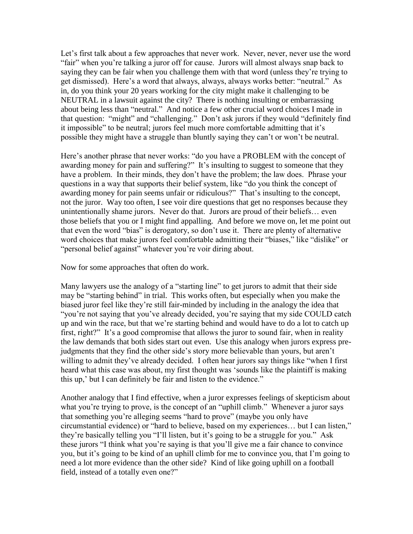Let's first talk about a few approaches that never work. Never, never, never use the word "fair" when you're talking a juror off for cause. Jurors will almost always snap back to saying they can be fair when you challenge them with that word (unless they're trying to get dismissed). Here's a word that always, always, always works better: "neutral." As in, do you think your 20 years working for the city might make it challenging to be NEUTRAL in a lawsuit against the city? There is nothing insulting or embarrassing about being less than "neutral." And notice a few other crucial word choices I made in that question: "might" and "challenging." Don't ask jurors if they would "definitely find it impossible" to be neutral; jurors feel much more comfortable admitting that it's possible they might have a struggle than bluntly saying they can't or won't be neutral.

Here's another phrase that never works: "do you have a PROBLEM with the concept of awarding money for pain and suffering?" It's insulting to suggest to someone that they have a problem. In their minds, they don't have the problem; the law does. Phrase your questions in a way that supports their belief system, like "do you think the concept of awarding money for pain seems unfair or ridiculous?" That's insulting to the concept, not the juror. Way too often, I see voir dire questions that get no responses because they unintentionally shame jurors. Never do that. Jurors are proud of their beliefs… even those beliefs that you or I might find appalling. And before we move on, let me point out that even the word "bias" is derogatory, so don't use it. There are plenty of alternative word choices that make jurors feel comfortable admitting their "biases," like "dislike" or "personal belief against" whatever you're voir diring about.

Now for some approaches that often do work.

Many lawyers use the analogy of a "starting line" to get jurors to admit that their side may be "starting behind" in trial. This works often, but especially when you make the biased juror feel like they're still fair-minded by including in the analogy the idea that "you're not saying that you've already decided, you're saying that my side COULD catch up and win the race, but that we're starting behind and would have to do a lot to catch up first, right?" It's a good compromise that allows the juror to sound fair, when in reality the law demands that both sides start out even. Use this analogy when jurors express prejudgments that they find the other side's story more believable than yours, but aren't willing to admit they've already decided. I often hear jurors say things like "when I first heard what this case was about, my first thought was 'sounds like the plaintiff is making this up,' but I can definitely be fair and listen to the evidence."

Another analogy that I find effective, when a juror expresses feelings of skepticism about what you're trying to prove, is the concept of an "uphill climb." Whenever a juror says that something you're alleging seems "hard to prove" (maybe you only have circumstantial evidence) or "hard to believe, based on my experiences… but I can listen," they're basically telling you "I'll listen, but it's going to be a struggle for you." Ask these jurors "I think what you're saying is that you'll give me a fair chance to convince you, but it's going to be kind of an uphill climb for me to convince you, that I'm going to need a lot more evidence than the other side? Kind of like going uphill on a football field, instead of a totally even one?"